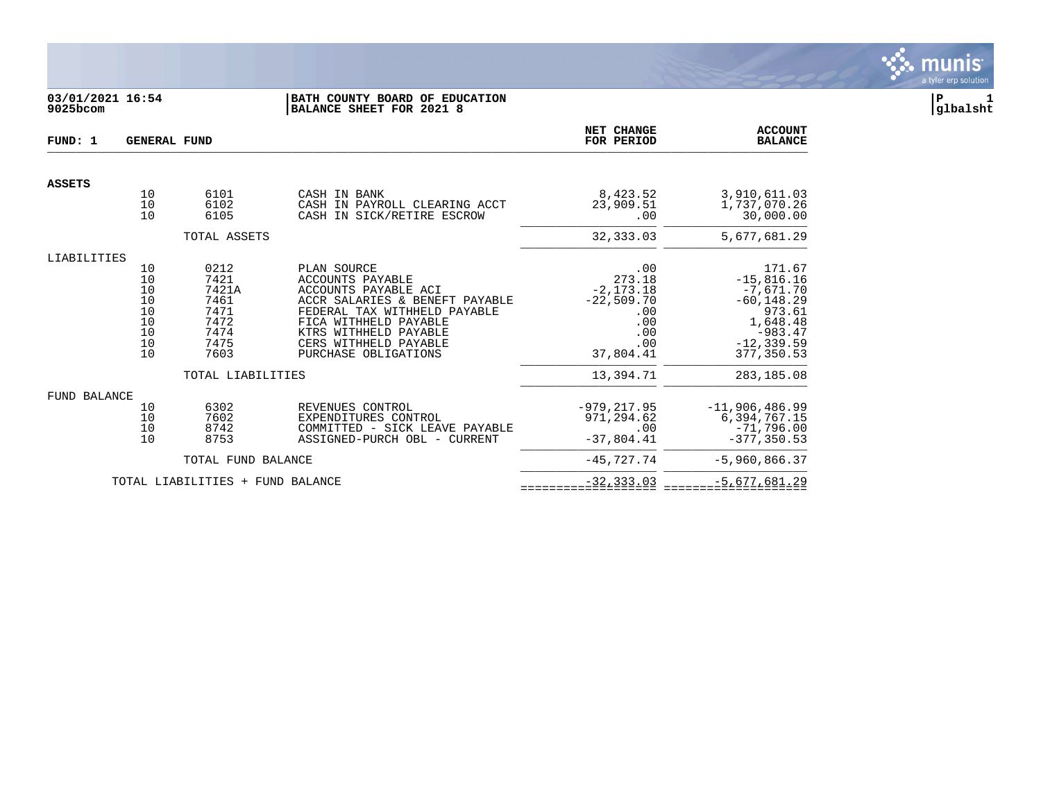

# **03/01/2021 16:54 |BATH COUNTY BOARD OF EDUCATION |P 1 9025bcom |BALANCE SHEET FOR 2021 8 |glbalsht**

| FUND: 1       | <b>GENERAL FUND</b>                                |                                                                                            | <b>NET CHANGE</b><br>FOR PERIOD                                                                                                                                                                                              | <b>ACCOUNT</b><br><b>BALANCE</b>                                                                    |                                                                                                                                      |
|---------------|----------------------------------------------------|--------------------------------------------------------------------------------------------|------------------------------------------------------------------------------------------------------------------------------------------------------------------------------------------------------------------------------|-----------------------------------------------------------------------------------------------------|--------------------------------------------------------------------------------------------------------------------------------------|
| <b>ASSETS</b> |                                                    |                                                                                            |                                                                                                                                                                                                                              |                                                                                                     |                                                                                                                                      |
|               | 10<br>10<br>10                                     | 6101<br>6102<br>6105                                                                       | CASH IN BANK<br>CASH IN PAYROLL CLEARING ACCT<br>CASH IN SICK/RETIRE ESCROW                                                                                                                                                  | 8,423.52<br>23,909.51<br>.00                                                                        | 3,910,611.03<br>1,737,070.26<br>30,000.00                                                                                            |
|               |                                                    | TOTAL ASSETS                                                                               |                                                                                                                                                                                                                              | 32, 333.03                                                                                          | 5,677,681.29                                                                                                                         |
| LIABILITIES   |                                                    |                                                                                            |                                                                                                                                                                                                                              |                                                                                                     |                                                                                                                                      |
|               | 10<br>10<br>10<br>10<br>10<br>10<br>10<br>10<br>10 | 0212<br>7421<br>7421A<br>7461<br>7471<br>7472<br>7474<br>7475<br>7603<br>TOTAL LIABILITIES | PLAN SOURCE<br>ACCOUNTS PAYABLE<br>ACCOUNTS PAYABLE ACI<br>ACCR SALARIES & BENEFT PAYABLE<br>FEDERAL TAX WITHHELD PAYABLE<br>FICA WITHHELD PAYABLE<br>KTRS WITHHELD PAYABLE<br>CERS WITHHELD PAYABLE<br>PURCHASE OBLIGATIONS | .00<br>273.18<br>$-2, 173.18$<br>$-22,509.70$<br>.00<br>.00<br>.00<br>.00<br>37,804.41<br>13,394.71 | 171.67<br>$-15,816.16$<br>-7,671.70<br>$-60, 148.29$<br>973.61<br>1,648.48<br>$-983.47$<br>$-12, 339.59$<br>377,350.53<br>283,185.08 |
|               |                                                    |                                                                                            |                                                                                                                                                                                                                              |                                                                                                     |                                                                                                                                      |
| FUND BALANCE  | 10<br>10<br>10<br>10                               | 6302<br>7602<br>8742<br>8753                                                               | REVENUES CONTROL<br>EXPENDITURES CONTROL<br>COMMITTED - SICK LEAVE PAYABLE<br>ASSIGNED-PURCH OBL - CURRENT                                                                                                                   | $-979.217.95$<br>971,294.62<br>.00<br>$-37,804.41$                                                  | $-11,906,486.99$<br>6,394,767.15<br>$-71,796.00$<br>$-377.350.53$                                                                    |
|               |                                                    | TOTAL FUND BALANCE                                                                         |                                                                                                                                                                                                                              | $-45,727.74$                                                                                        | $-5,960,866.37$                                                                                                                      |
|               |                                                    | TOTAL LIABILITIES + FUND BALANCE                                                           |                                                                                                                                                                                                                              | $-32, 333.03$                                                                                       | $-5,677,681.29$                                                                                                                      |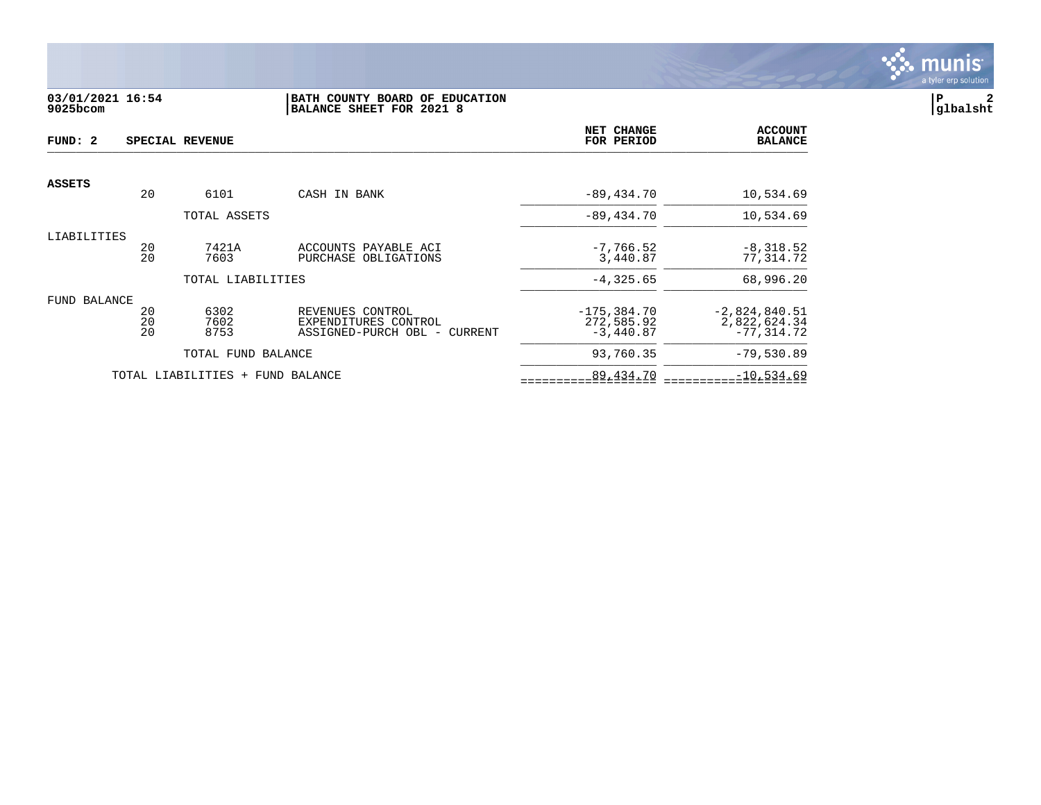

# **03/01/2021 16:54 |BATH COUNTY BOARD OF EDUCATION |P 2 9025bcom |BALANCE SHEET FOR 2021 8 |glbalsht**

| FUND: 2             |                | SPECIAL REVENUE                  |                                                                          | NET CHANGE<br>FOR PERIOD                    | <b>ACCOUNT</b><br><b>BALANCE</b>                 |
|---------------------|----------------|----------------------------------|--------------------------------------------------------------------------|---------------------------------------------|--------------------------------------------------|
| <b>ASSETS</b>       |                |                                  |                                                                          |                                             |                                                  |
|                     | 20             | 6101                             | CASH IN BANK                                                             | $-89,434.70$                                | 10,534.69                                        |
|                     |                | TOTAL ASSETS                     |                                                                          | $-89,434.70$                                | 10,534.69                                        |
| LIABILITIES         | 20<br>20       | 7421A<br>7603                    | ACCOUNTS PAYABLE ACI<br>PURCHASE OBLIGATIONS                             | $-7,766.52$<br>3,440.87                     | $-8,318.52$<br>77,314.72                         |
|                     |                | TOTAL LIABILITIES                |                                                                          | $-4, 325.65$                                | 68,996.20                                        |
| <b>FUND BALANCE</b> | 20<br>20<br>20 | 6302<br>7602<br>8753             | REVENUES CONTROL<br>EXPENDITURES CONTROL<br>ASSIGNED-PURCH OBL - CURRENT | $-175, 384.70$<br>272,585.92<br>$-3,440.87$ | $-2,824,840.51$<br>2,822,624.34<br>$-77, 314.72$ |
|                     |                | TOTAL FUND BALANCE               |                                                                          | 93,760.35                                   | $-79,530.89$                                     |
|                     |                | TOTAL LIABILITIES + FUND BALANCE |                                                                          | 89,434.70                                   | $-10,534.69$                                     |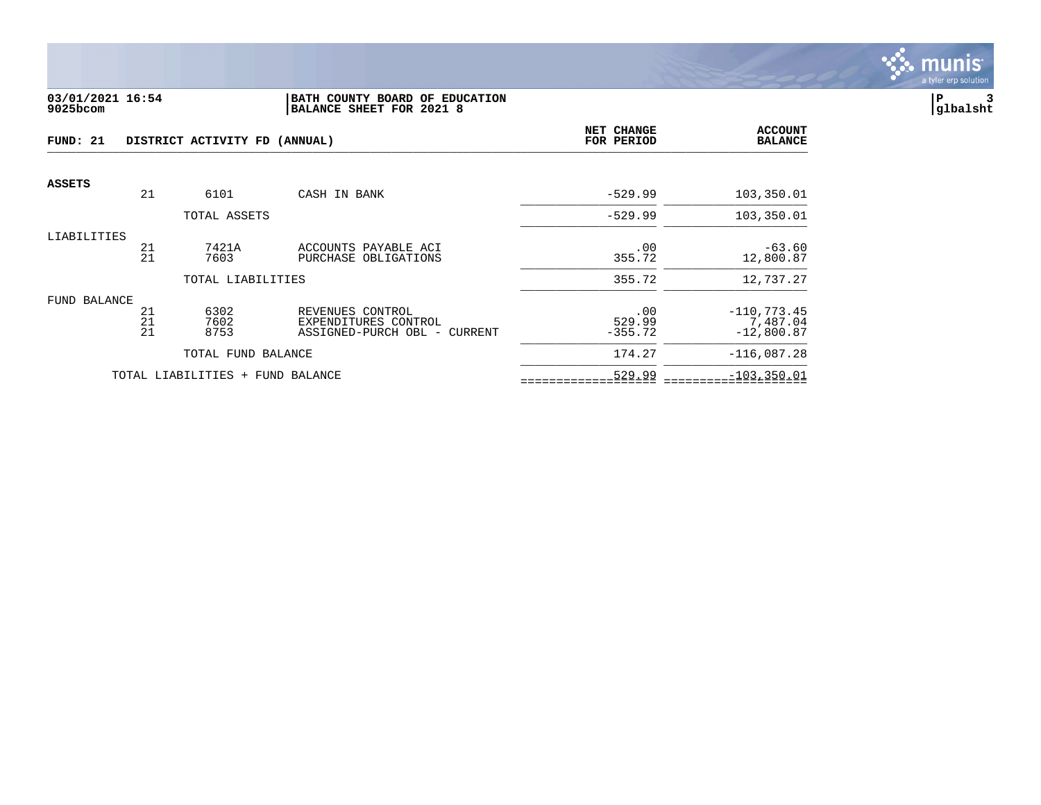

#### **03/01/2021 16:54 |BATH COUNTY BOARD OF EDUCATION |P 3 9025bcom |BALANCE SHEET FOR 2021 8 |glbalsht**

| FUND: 21      |                | DISTRICT ACTIVITY FD (ANNUAL)    | <b>NET CHANGE</b><br>FOR PERIOD                                          | <b>ACCOUNT</b><br><b>BALANCE</b> |                                            |
|---------------|----------------|----------------------------------|--------------------------------------------------------------------------|----------------------------------|--------------------------------------------|
| <b>ASSETS</b> |                |                                  |                                                                          |                                  |                                            |
|               | 21             | 6101                             | CASH IN BANK                                                             | $-529.99$                        | 103,350.01                                 |
|               |                | TOTAL ASSETS                     |                                                                          | $-529.99$                        | 103,350.01                                 |
| LIABILITIES   | 21<br>21       | 7421A<br>7603                    | ACCOUNTS PAYABLE ACI<br>PURCHASE OBLIGATIONS                             | .00<br>355.72                    | $-63.60$<br>12,800.87                      |
|               |                | TOTAL LIABILITIES                |                                                                          | 355.72                           | 12,737.27                                  |
| FUND BALANCE  | 21<br>21<br>21 | 6302<br>7602<br>8753             | REVENUES CONTROL<br>EXPENDITURES CONTROL<br>ASSIGNED-PURCH OBL - CURRENT | .00<br>529.99<br>$-355.72$       | $-110, 773.45$<br>7,487.04<br>$-12,800.87$ |
|               |                | TOTAL FUND BALANCE               |                                                                          | 174.27                           | $-116,087.28$                              |
|               |                | TOTAL LIABILITIES + FUND BALANCE |                                                                          | 529.99                           | $-103, 350.01$                             |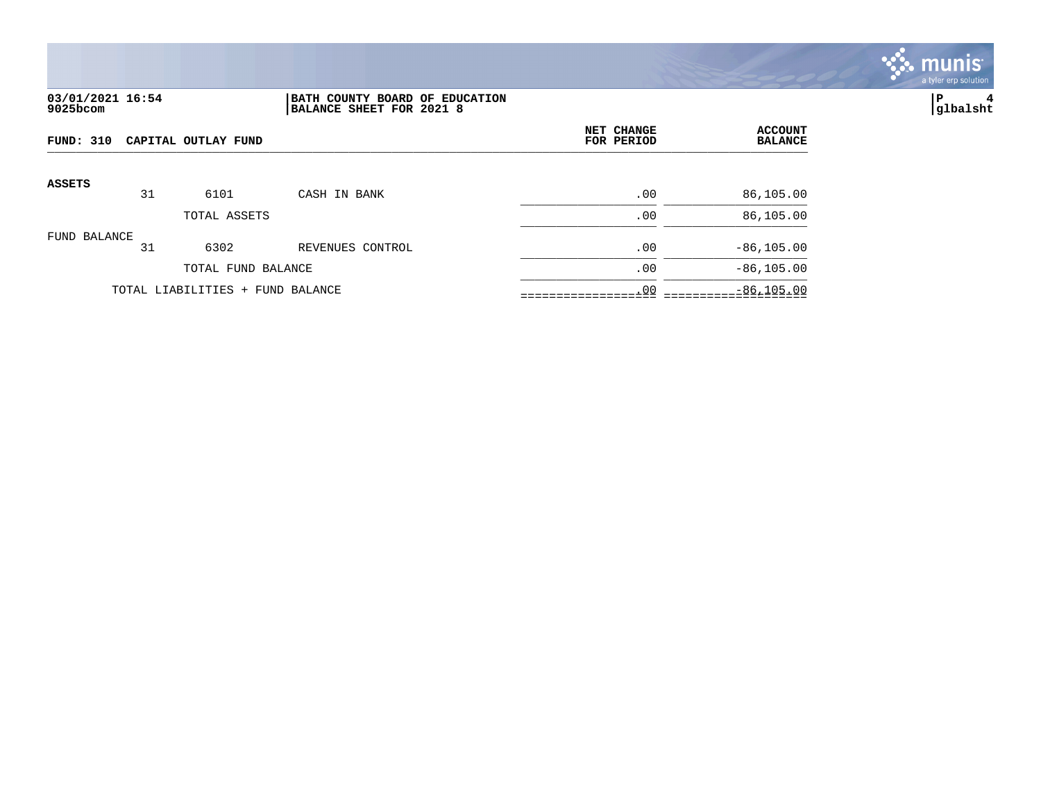

# **03/01/2021 16:54 |BATH COUNTY BOARD OF EDUCATION |P 4 9025bcom |BALANCE SHEET FOR 2021 8 |glbalsht**

| FUND: 310<br>CAPITAL OUTLAY FUND |    |                                  |                  | NET CHANGE<br>FOR PERIOD | <b>ACCOUNT</b><br><b>BALANCE</b> |
|----------------------------------|----|----------------------------------|------------------|--------------------------|----------------------------------|
| <b>ASSETS</b>                    | 31 | 6101                             | CASH IN BANK     | .00                      | 86,105.00                        |
|                                  |    | TOTAL ASSETS                     |                  | .00                      | 86,105.00                        |
| FUND BALANCE                     | 31 | 6302                             | REVENUES CONTROL | .00                      | $-86, 105.00$                    |
|                                  |    | TOTAL FUND BALANCE               |                  | .00                      | $-86, 105.00$                    |
|                                  |    | TOTAL LIABILITIES + FUND BALANCE |                  | .00                      | $-86, 105.00$                    |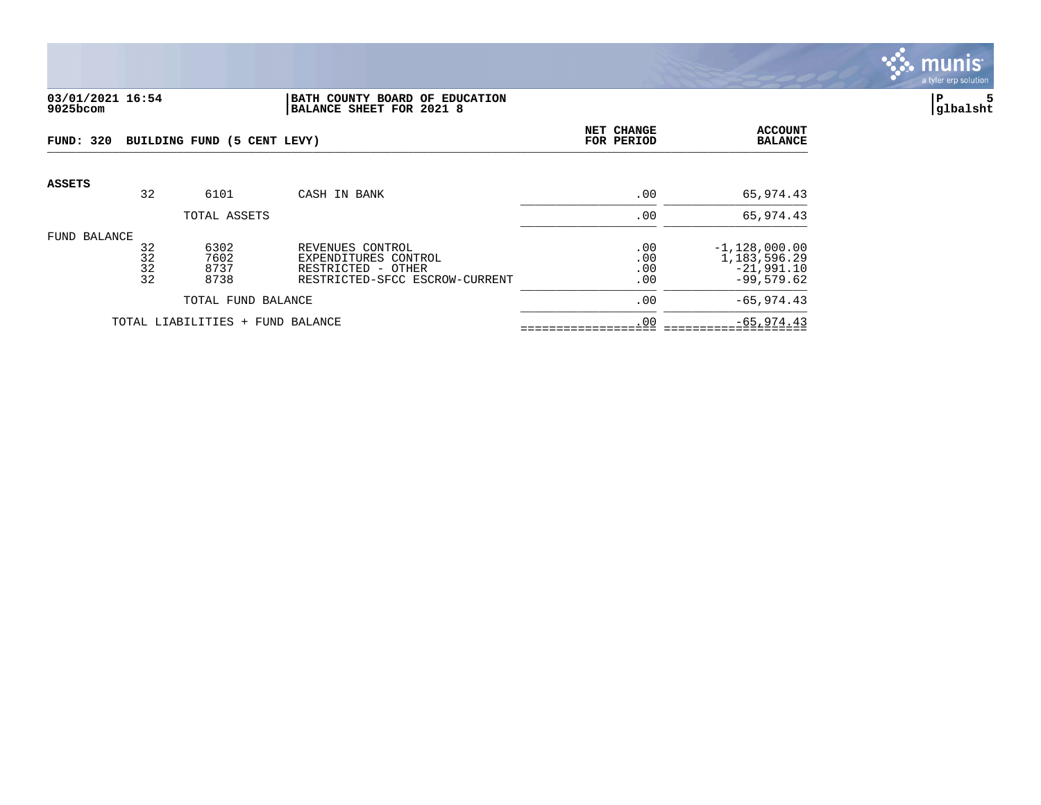

#### **03/01/2021 16:54 |BATH COUNTY BOARD OF EDUCATION |P 5 9025bcom |BALANCE SHEET FOR 2021 8 |glbalsht**

| FUND: 320                           |                      | BUILDING FUND (5 CENT LEVY)  |                                                                                                  | NET CHANGE<br>FOR PERIOD | <b>ACCOUNT</b><br><b>BALANCE</b>                                   |
|-------------------------------------|----------------------|------------------------------|--------------------------------------------------------------------------------------------------|--------------------------|--------------------------------------------------------------------|
| <b>ASSETS</b>                       | 32                   | 6101                         | CASH IN BANK                                                                                     | .00                      | 65,974.43                                                          |
|                                     |                      | TOTAL ASSETS                 |                                                                                                  | .00                      | 65,974.43                                                          |
| FUND BALANCE                        | 32<br>32<br>32<br>32 | 6302<br>7602<br>8737<br>8738 | REVENUES CONTROL<br>EXPENDITURES CONTROL<br>RESTRICTED - OTHER<br>RESTRICTED-SFCC ESCROW-CURRENT | .00<br>.00<br>.00<br>.00 | $-1,128,000.00$<br>1, 183, 596. 29<br>$-21,991.10$<br>$-99.579.62$ |
|                                     | TOTAL FUND BALANCE   |                              |                                                                                                  | .00                      | $-65, 974.43$                                                      |
| TOTAL LIABILITIES +<br>FUND BALANCE |                      |                              | .00                                                                                              | $-65, 974.43$            |                                                                    |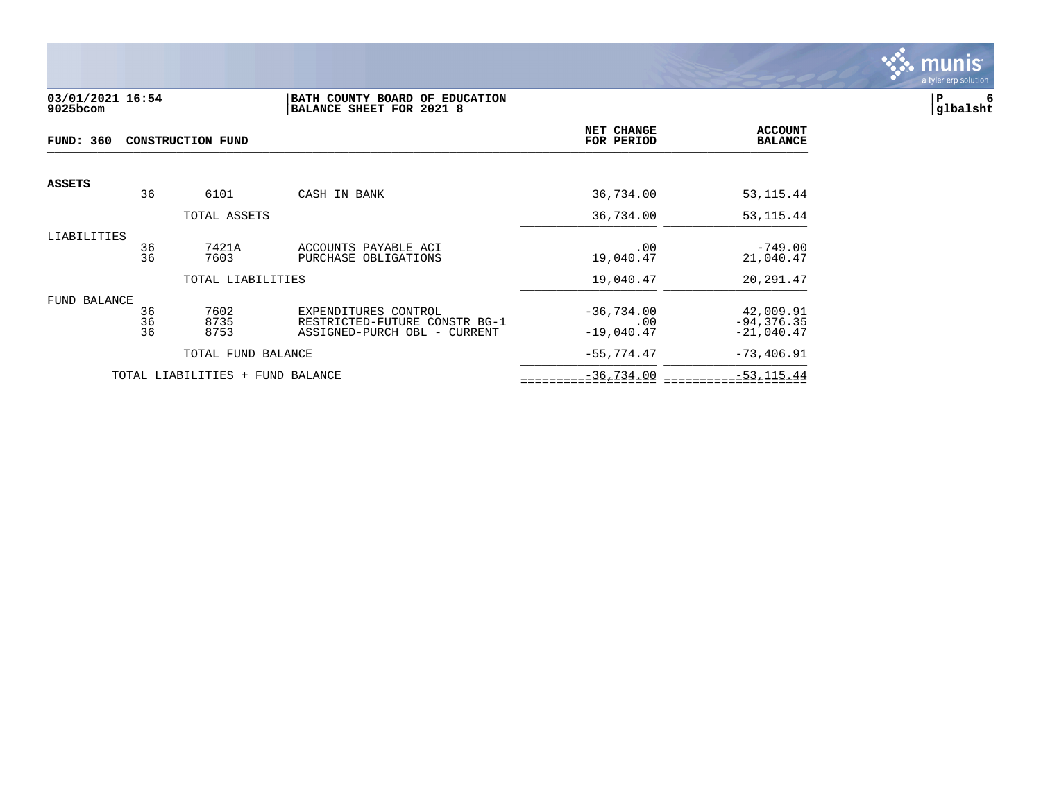

## **03/01/2021 16:54 |BATH COUNTY BOARD OF EDUCATION |P 6 9025bcom |BALANCE SHEET FOR 2021 8 |glbalsht**

| <b>FUND: 360</b> |          | CONSTRUCTION FUND                | NET CHANGE<br>FOR PERIOD                              | <b>ACCOUNT</b><br><b>BALANCE</b> |                            |
|------------------|----------|----------------------------------|-------------------------------------------------------|----------------------------------|----------------------------|
| <b>ASSETS</b>    |          |                                  |                                                       |                                  |                            |
|                  | 36       | 6101                             | CASH IN BANK                                          | 36,734.00                        | 53, 115. 44                |
|                  |          | TOTAL ASSETS                     |                                                       | 36,734.00                        | 53, 115. 44                |
| LIABILITIES      | 36       | 7421A                            | ACCOUNTS PAYABLE ACI                                  | .00                              | $-749.00$                  |
|                  | 36       | 7603                             | PURCHASE OBLIGATIONS                                  | 19,040.47                        | 21,040.47                  |
|                  |          | TOTAL LIABILITIES                |                                                       | 19,040.47                        | 20,291.47                  |
| FUND BALANCE     |          |                                  |                                                       |                                  |                            |
|                  | 36<br>36 | 7602<br>8735                     | EXPENDITURES CONTROL<br>RESTRICTED-FUTURE CONSTR BG-1 | $-36,734.00$<br>.00              | 42,009.91<br>$-94, 376.35$ |
|                  | 36       | 8753                             | ASSIGNED-PURCH OBL - CURRENT                          | $-19,040.47$                     | $-21,040.47$               |
|                  |          | TOTAL FUND BALANCE               |                                                       | $-55,774.47$                     | $-73,406.91$               |
|                  |          | TOTAL LIABILITIES + FUND BALANCE |                                                       | $-36,734.00$                     | $-53, 115.44$              |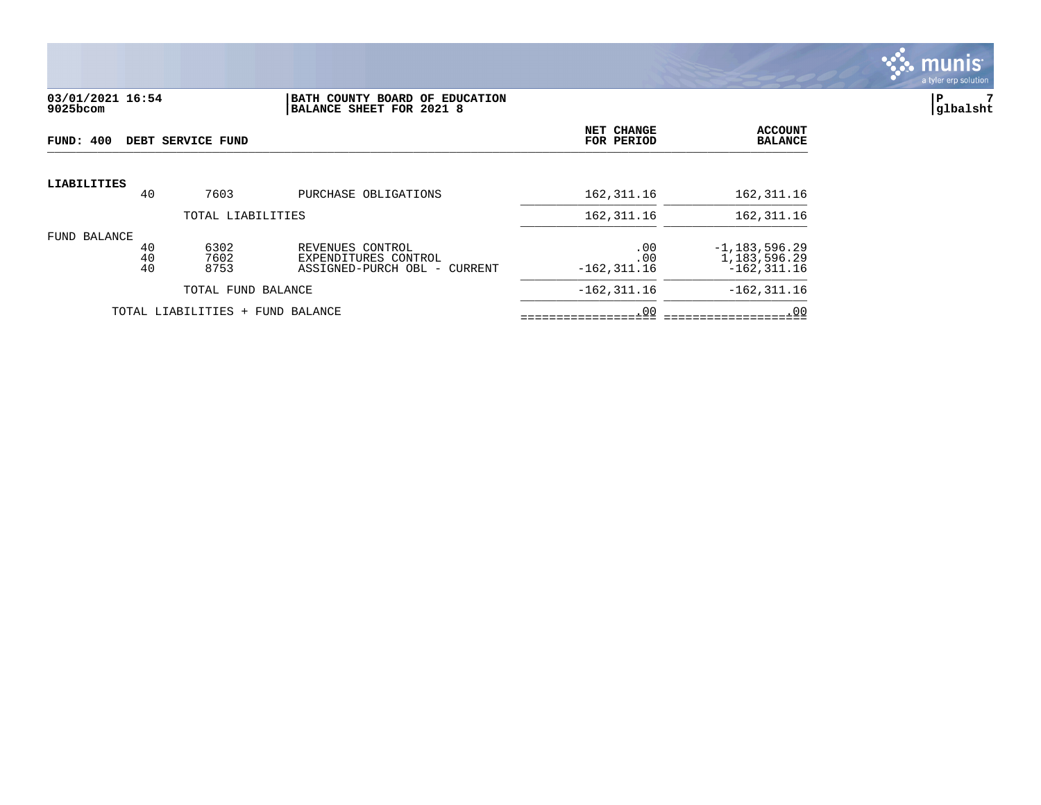

#### **03/01/2021 16:54 |BATH COUNTY BOARD OF EDUCATION |P 7 9025bcom |BALANCE SHEET FOR 2021 8 |glbalsht**

| FUND: 400           |                   | DEBT SERVICE FUND                |                                                                             | NET CHANGE<br>FOR PERIOD     | <b>ACCOUNT</b><br><b>BALANCE</b>                  |
|---------------------|-------------------|----------------------------------|-----------------------------------------------------------------------------|------------------------------|---------------------------------------------------|
| LIABILITIES         | 40                | 7603                             | PURCHASE OBLIGATIONS                                                        | 162,311.16                   | 162, 311.16                                       |
|                     | TOTAL LIABILITIES |                                  |                                                                             |                              | 162, 311.16                                       |
| <b>FUND BALANCE</b> | 40<br>40<br>40    | 6302<br>7602<br>8753             | REVENUES CONTROL<br>EXPENDITURES CONTROL<br>ASSIGNED-PURCH OBL -<br>CURRENT | .00<br>.00<br>$-162, 311.16$ | $-1,183,596.29$<br>1,183,596.29<br>$-162, 311.16$ |
|                     |                   | TOTAL FUND BALANCE               |                                                                             | $-162, 311.16$               | $-162, 311.16$                                    |
|                     |                   | TOTAL LIABILITIES + FUND BALANCE |                                                                             | .00                          | .00                                               |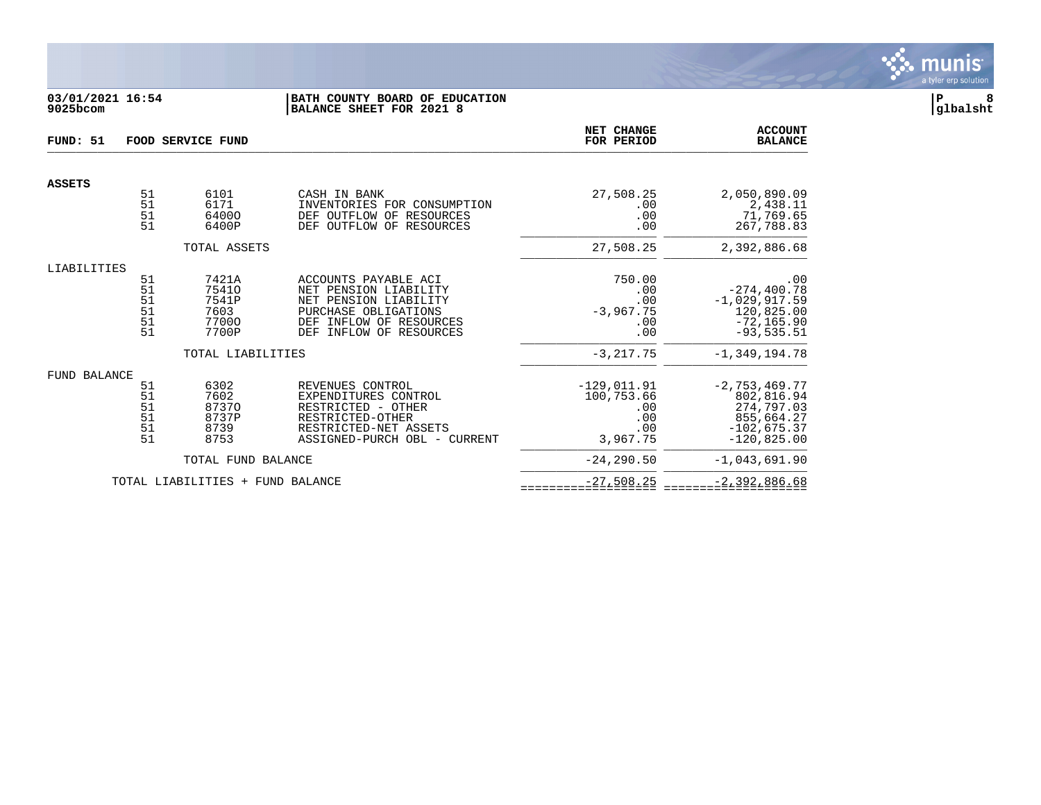

# **03/01/2021 16:54 |BATH COUNTY BOARD OF EDUCATION |P 8 9025bcom |BALANCE SHEET FOR 2021 8 |glbalsht**

| FUND: 51            | FOOD SERVICE FUND                |                                                   |                                                                                                                                                            |                                                   | <b>ACCOUNT</b><br><b>BALANCE</b>                                                         |
|---------------------|----------------------------------|---------------------------------------------------|------------------------------------------------------------------------------------------------------------------------------------------------------------|---------------------------------------------------|------------------------------------------------------------------------------------------|
| <b>ASSETS</b>       |                                  |                                                   |                                                                                                                                                            |                                                   |                                                                                          |
|                     | 51<br>51<br>51<br>51             | 6101<br>6171<br>64000<br>6400P                    | CASH IN BANK<br>INVENTORIES FOR CONSUMPTION<br>DEF OUTFLOW OF RESOURCES<br>DEF OUTFLOW OF RESOURCES                                                        | 27,508.25<br>.00<br>.00<br>.00                    | 2,050,890.09<br>2,438.11<br>71,769.65<br>267,788.83                                      |
|                     |                                  | TOTAL ASSETS                                      |                                                                                                                                                            | 27,508.25                                         | 2,392,886.68                                                                             |
| LIABILITIES         |                                  |                                                   |                                                                                                                                                            |                                                   |                                                                                          |
|                     | 51<br>51<br>51<br>51<br>51<br>51 | 7421A<br>75410<br>7541P<br>7603<br>77000<br>7700P | ACCOUNTS PAYABLE ACI<br>NET PENSION LIABILITY<br>NET PENSION LIABILITY<br>PURCHASE OBLIGATIONS<br>INFLOW OF RESOURCES<br>DEF<br>DEF<br>INFLOW OF RESOURCES | 750.00<br>.00<br>.00<br>$-3,967.75$<br>.00<br>.00 | .00<br>$-274, 400.78$<br>$-1,029,917.59$<br>120,825.00<br>$-72, 165.90$<br>$-93, 535.51$ |
|                     |                                  | TOTAL LIABILITIES                                 |                                                                                                                                                            | $-3, 217.75$                                      | $-1, 349, 194.78$                                                                        |
| <b>FUND BALANCE</b> | 51                               | 6302                                              | REVENUES CONTROL                                                                                                                                           | $-129,011.91$                                     | $-2, 753, 469.77$                                                                        |
|                     | 51<br>51<br>51<br>51<br>51       | 7602<br>87370<br>8737P<br>8739<br>8753            | EXPENDITURES CONTROL<br>RESTRICTED - OTHER<br>RESTRICTED-OTHER<br>RESTRICTED-NET ASSETS<br>ASSIGNED-PURCH OBL - CURRENT                                    | 100,753.66<br>.00<br>.00<br>.00<br>3,967.75       | 802,816.94<br>274,797.03<br>855,664.27<br>$-102,675.37$<br>$-120,825.00$                 |
|                     |                                  | TOTAL FUND BALANCE                                |                                                                                                                                                            | $-24, 290.50$                                     | $-1,043,691.90$                                                                          |
|                     |                                  | TOTAL LIABILITIES + FUND BALANCE                  |                                                                                                                                                            | $-27,508.25$                                      | $-2, 392, 886.68$                                                                        |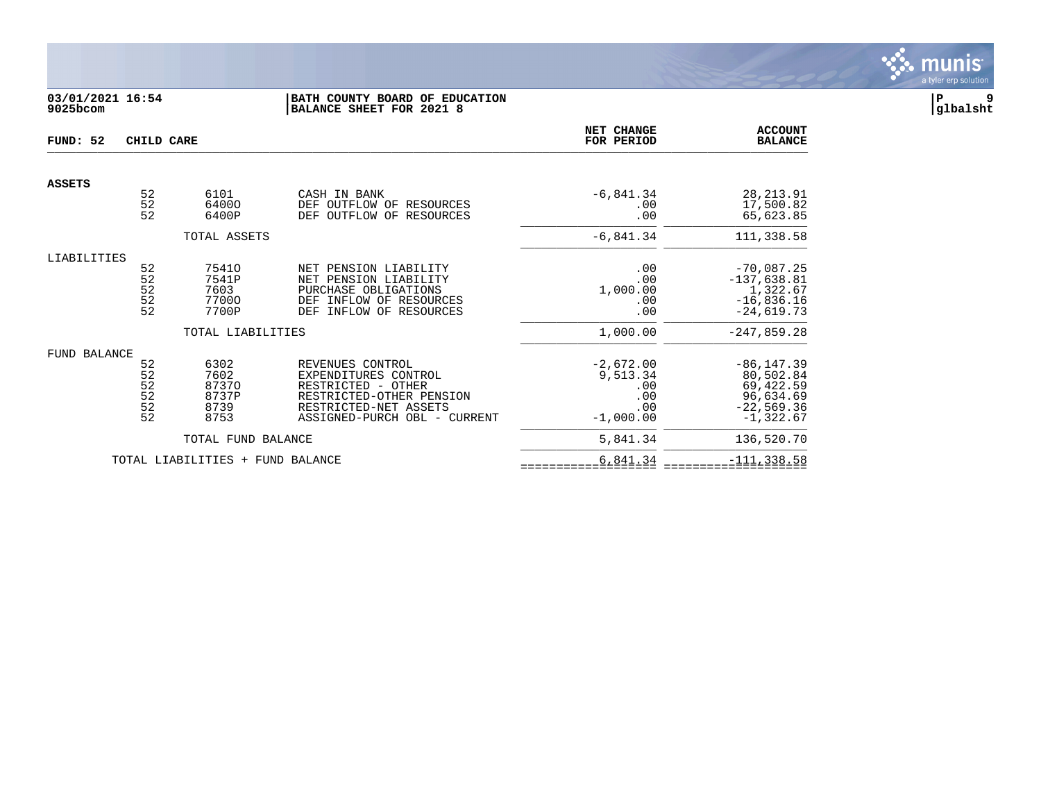

# **03/01/2021 16:54 |BATH COUNTY BOARD OF EDUCATION |P 9 9025bcom |BALANCE SHEET FOR 2021 8 |glbalsht**

| FUND: 52      | CHILD CARE                                                |                                                               | NET CHANGE<br>FOR PERIOD                                                                                                                            | <b>ACCOUNT</b><br><b>BALANCE</b>                            |                                                                                            |
|---------------|-----------------------------------------------------------|---------------------------------------------------------------|-----------------------------------------------------------------------------------------------------------------------------------------------------|-------------------------------------------------------------|--------------------------------------------------------------------------------------------|
| <b>ASSETS</b> |                                                           |                                                               |                                                                                                                                                     |                                                             |                                                                                            |
|               | 52<br>52<br>52                                            | 6101<br>64000<br>6400P                                        | CASH IN BANK<br>OUTFLOW OF<br>DEF<br>RESOURCES<br>OUTFLOW<br>OF<br>DEF<br>RESOURCES                                                                 | $-6,841.34$<br>.00<br>.00                                   | 28, 213.91<br>17,500.82<br>65,623.85                                                       |
|               |                                                           | TOTAL ASSETS                                                  |                                                                                                                                                     | $-6,841.34$                                                 | 111,338.58                                                                                 |
| LIABILITIES   | 52<br>52<br>52<br>$\begin{array}{c} 52 \\ 52 \end{array}$ | 75410<br>7541P<br>7603<br>77000<br>7700P<br>TOTAL LIABILITIES | NET PENSION LIABILITY<br>NET PENSION LIABILITY<br>PURCHASE OBLIGATIONS<br>INFLOW OF RESOURCES<br>DEF<br>INFLOW OF RESOURCES<br>DEF                  | .00<br>.00<br>1,000.00<br>.00<br>.00<br>1,000.00            | $-70,087.25$<br>$-137,638.81$<br>1,322.67<br>$-16,836.16$<br>$-24,619.73$<br>$-247,859.28$ |
| FUND BALANCE  | 52<br>52<br>52<br>52<br>52<br>52<br>52                    | 6302<br>7602<br>87370<br>8737P<br>8739<br>8753                | REVENUES CONTROL<br>EXPENDITURES CONTROL<br>RESTRICTED - OTHER<br>RESTRICTED-OTHER PENSION<br>RESTRICTED-NET ASSETS<br>ASSIGNED-PURCH OBL - CURRENT | $-2,672.00$<br>9,513.34<br>.00<br>.00<br>.00<br>$-1,000.00$ | $-86, 147.39$<br>80,502.84<br>69,422.59<br>96,634.69<br>$-22,569.36$<br>$-1,322.67$        |
|               |                                                           | TOTAL FUND BALANCE                                            |                                                                                                                                                     | 5,841.34                                                    | 136,520.70                                                                                 |
|               |                                                           | TOTAL LIABILITIES +                                           | FUND BALANCE                                                                                                                                        | 6,841.34                                                    | $-111, 338.58$                                                                             |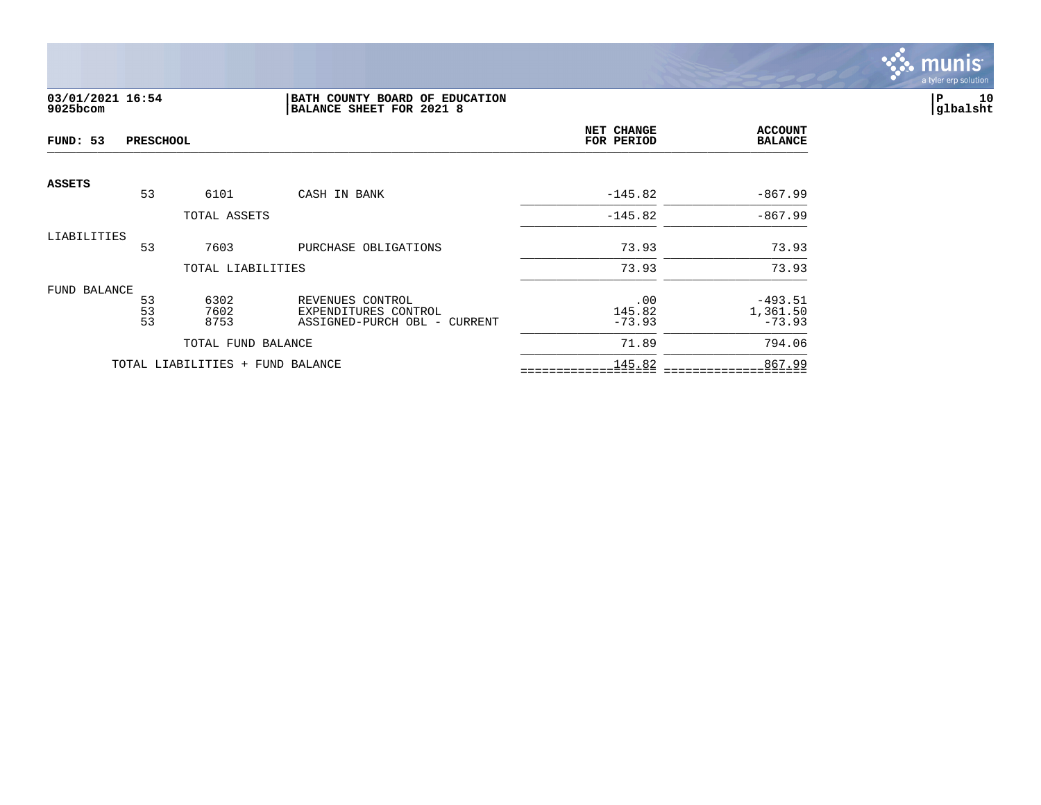

# **03/01/2021 16:54 |BATH COUNTY BOARD OF EDUCATION |P 10 9025bcom |BALANCE SHEET FOR 2021 8 |glbalsht**

| FUND: 53      | <b>PRESCHOOL</b> |                                  |                                                      | NET CHANGE<br>FOR PERIOD | <b>ACCOUNT</b><br><b>BALANCE</b> |
|---------------|------------------|----------------------------------|------------------------------------------------------|--------------------------|----------------------------------|
| <b>ASSETS</b> | 53               | 6101                             | CASH IN BANK                                         | $-145.82$                | $-867.99$                        |
|               |                  | TOTAL ASSETS                     |                                                      | $-145.82$                | $-867.99$                        |
| LIABILITIES   |                  |                                  |                                                      |                          |                                  |
|               | 53               | 7603                             | PURCHASE OBLIGATIONS                                 | 73.93                    | 73.93                            |
|               |                  | TOTAL LIABILITIES                |                                                      | 73.93                    | 73.93                            |
| FUND BALANCE  |                  |                                  |                                                      |                          |                                  |
|               | 53               | 6302                             | REVENUES CONTROL                                     | .00                      | $-493.51$                        |
|               | 53<br>53         | 7602<br>8753                     | EXPENDITURES CONTROL<br>ASSIGNED-PURCH OBL - CURRENT | 145.82<br>$-73.93$       | 1,361.50<br>$-73.93$             |
|               |                  | TOTAL FUND BALANCE               |                                                      | 71.89                    | 794.06                           |
|               |                  | TOTAL LIABILITIES + FUND BALANCE |                                                      | 145.82                   | 867.99                           |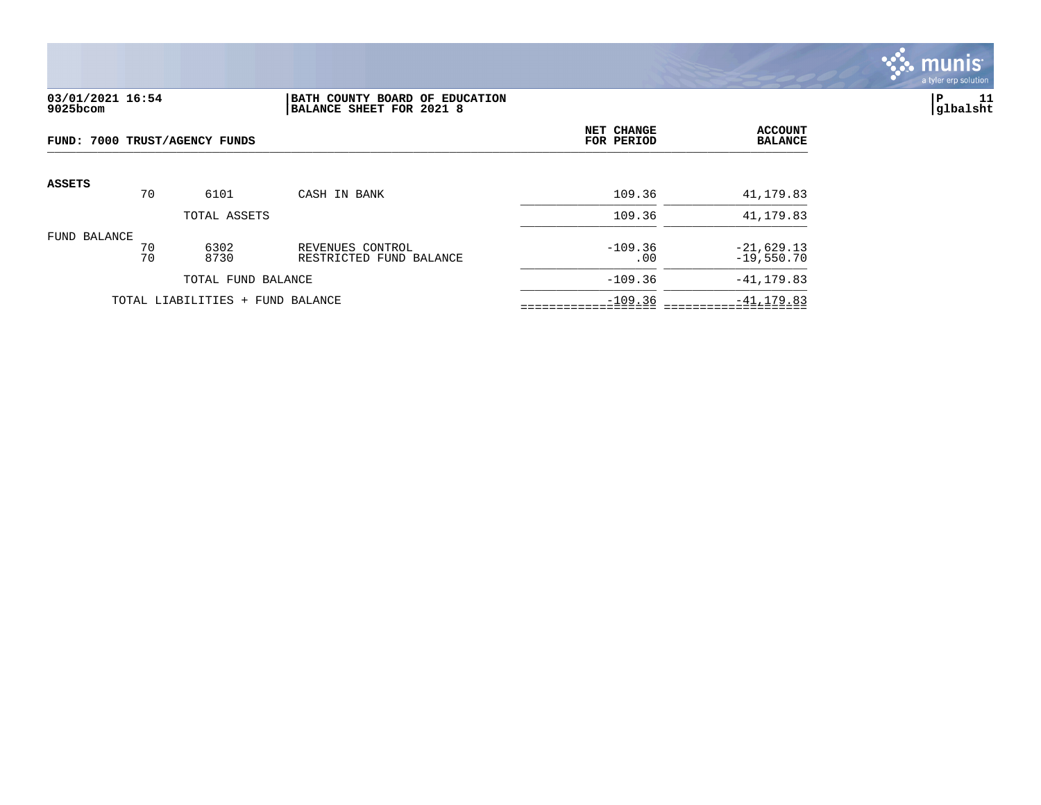

## **03/01/2021 16:54 |BATH COUNTY BOARD OF EDUCATION |P 11 9025bcom |BALANCE SHEET FOR 2021 8 |glbalsht**

| FUND: 7000 TRUST/AGENCY FUNDS |          |                                  |                                             | NET CHANGE<br>FOR PERIOD | <b>ACCOUNT</b><br><b>BALANCE</b> |
|-------------------------------|----------|----------------------------------|---------------------------------------------|--------------------------|----------------------------------|
| <b>ASSETS</b>                 | 70       | 6101                             | CASH IN BANK                                | 109.36                   | 41,179.83                        |
|                               |          | TOTAL ASSETS                     |                                             | 109.36                   | 41,179.83                        |
| FUND BALANCE                  | 70<br>70 | 6302<br>8730                     | REVENUES CONTROL<br>RESTRICTED FUND BALANCE | $-109.36$<br>.00         | $-21,629.13$<br>$-19,550.70$     |
|                               |          | TOTAL FUND BALANCE               |                                             | $-109.36$                | $-41, 179.83$                    |
|                               |          | TOTAL LIABILITIES + FUND BALANCE |                                             | $-109.36$                | $-41, 179.83$                    |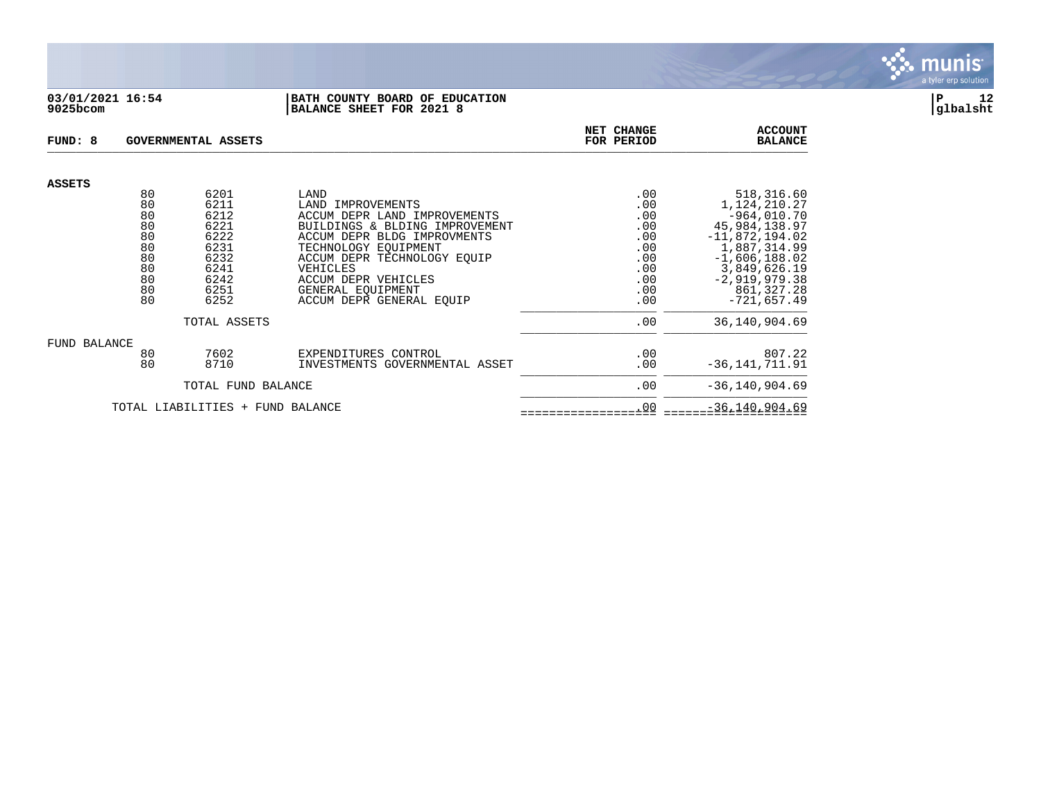

## **03/01/2021 16:54 |BATH COUNTY BOARD OF EDUCATION |P 12 9025bcom |BALANCE SHEET FOR 2021 8 |glbalsht**

| FUND: 8       |          | <b>GOVERNMENTAL ASSETS</b>       |                                                                | NET CHANGE<br>FOR PERIOD | <b>ACCOUNT</b><br><b>BALANCE</b>  |
|---------------|----------|----------------------------------|----------------------------------------------------------------|--------------------------|-----------------------------------|
| <b>ASSETS</b> |          |                                  |                                                                |                          |                                   |
|               | 80       | 6201                             | LAND                                                           | .00                      | 518,316.60                        |
|               | 80       | 6211                             | LAND<br>IMPROVEMENTS                                           | .00                      | 1,124,210.27                      |
|               | 80       | 6212<br>6221                     | ACCUM DEPR LAND IMPROVEMENTS<br>BUILDINGS & BLDING IMPROVEMENT | .00                      | $-964,010.70$                     |
|               | 80<br>80 | 6222                             | ACCUM DEPR BLDG IMPROVMENTS                                    | .00<br>.00               | 45,984,138.97<br>$-11,872,194.02$ |
|               | 80       | 6231                             | TECHNOLOGY EOUIPMENT                                           | .00                      | 1,887,314.99                      |
|               | 80       | 6232                             | ACCUM DEPR TECHNOLOGY EOUIP                                    | .00                      | $-1,606,188.02$                   |
|               | 80       | 6241                             | VEHICLES                                                       | .00                      | 3,849,626.19                      |
|               | 80       | 6242                             | ACCUM DEPR VEHICLES                                            | .00                      | $-2,919,979.38$                   |
|               | 80       | 6251                             | GENERAL EOUIPMENT                                              | .00                      | 861, 327.28                       |
|               | 80       | 6252                             | ACCUM DEPR GENERAL EQUIP                                       | .00                      | $-721,657.49$                     |
|               |          | TOTAL ASSETS                     |                                                                | .00                      | 36, 140, 904.69                   |
| FUND BALANCE  |          |                                  |                                                                |                          |                                   |
|               | 80       | 7602                             | EXPENDITURES CONTROL                                           | .00                      | 807.22                            |
|               | 80       | 8710                             | INVESTMENTS GOVERNMENTAL ASSET                                 | .00                      | $-36, 141, 711.91$                |
|               |          | TOTAL FUND BALANCE               |                                                                | .00                      | $-36, 140, 904.69$                |
|               |          | TOTAL LIABILITIES + FUND BALANCE |                                                                | .00                      | $-36, 140, 904.69$                |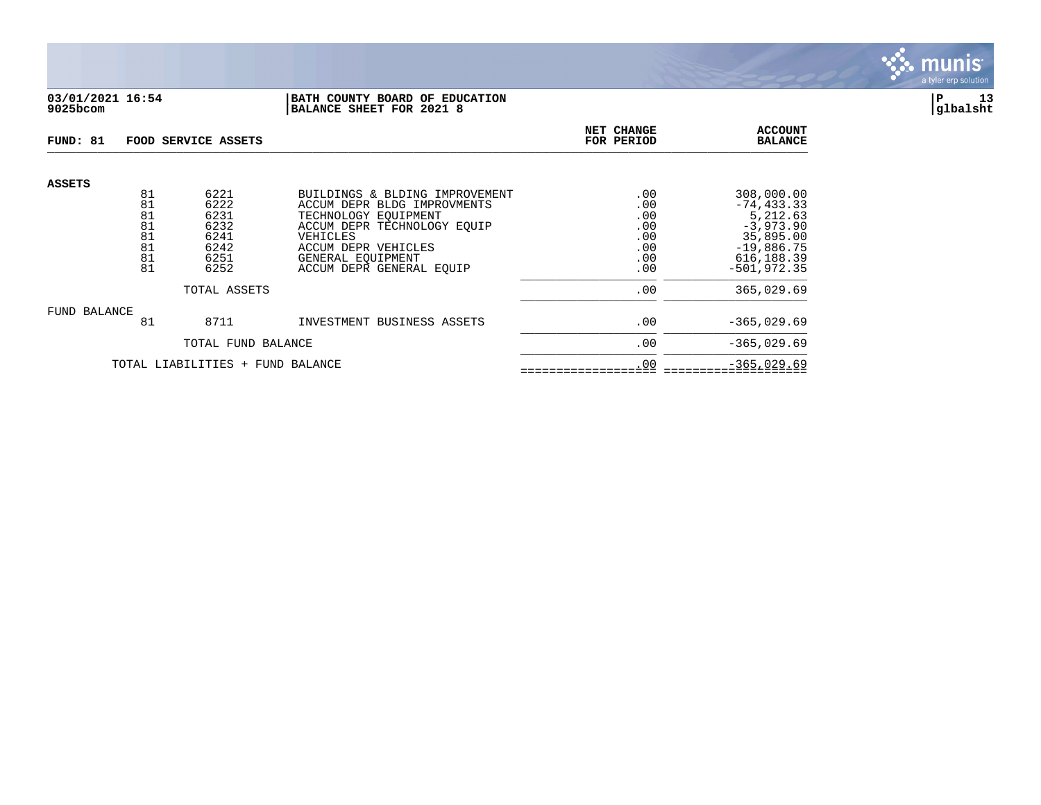

# **03/01/2021 16:54 |BATH COUNTY BOARD OF EDUCATION |P 13 9025bcom |BALANCE SHEET FOR 2021 8 |glbalsht**

| FUND: 81                         |                                  | FOOD SERVICE ASSETS                          |                                                                                                                                         | NET CHANGE<br>FOR PERIOD               | <b>ACCOUNT</b><br><b>BALANCE</b>                                                     |
|----------------------------------|----------------------------------|----------------------------------------------|-----------------------------------------------------------------------------------------------------------------------------------------|----------------------------------------|--------------------------------------------------------------------------------------|
| <b>ASSETS</b>                    | 81<br>81                         | 6221<br>6222                                 | BUILDINGS & BLDING IMPROVEMENT<br>ACCUM DEPR BLDG IMPROVMENTS                                                                           | .00<br>.00                             | 308,000.00<br>$-74, 433.33$                                                          |
|                                  | 81<br>81<br>81<br>81<br>81<br>81 | 6231<br>6232<br>6241<br>6242<br>6251<br>6252 | TECHNOLOGY EOUIPMENT<br>ACCUM DEPR TECHNOLOGY EOUIP<br>VEHICLES<br>ACCUM DEPR VEHICLES<br>GENERAL EOUIPMENT<br>ACCUM DEPR GENERAL EQUIP | .00<br>.00<br>.00<br>.00<br>.00<br>.00 | 5,212.63<br>$-3,973.90$<br>35,895.00<br>$-19,886.75$<br>616, 188.39<br>$-501.972.35$ |
| TOTAL ASSETS                     |                                  |                                              |                                                                                                                                         | .00                                    | 365,029.69                                                                           |
| FUND BALANCE                     | 81                               | 8711                                         | INVESTMENT BUSINESS ASSETS                                                                                                              | .00                                    | $-365,029.69$                                                                        |
|                                  | TOTAL FUND BALANCE               |                                              |                                                                                                                                         | .00                                    | $-365,029.69$                                                                        |
| TOTAL LIABILITIES + FUND BALANCE |                                  |                                              |                                                                                                                                         | .00                                    | $-365,029.69$                                                                        |